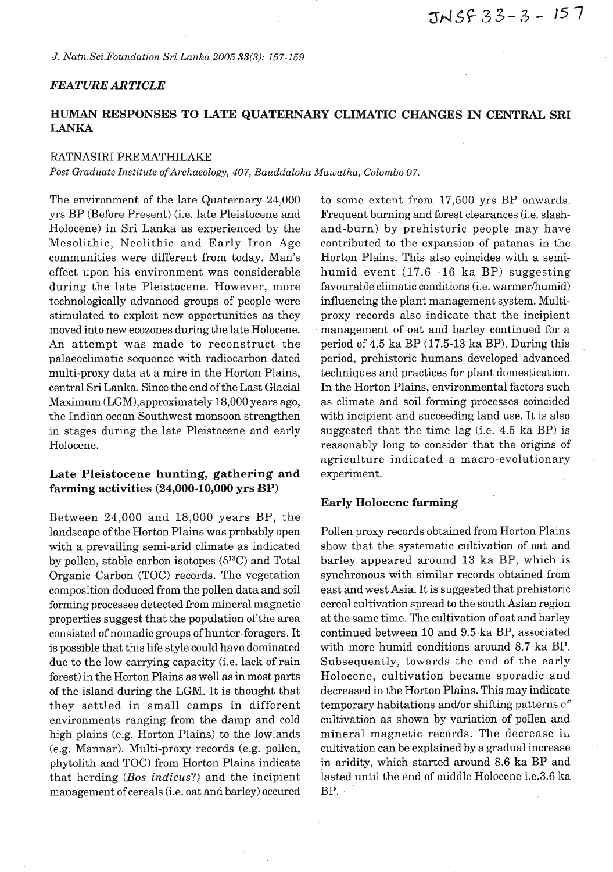*J. Natn.Sci.Foundation Sri Lanka 2005* **33(3):** *157-159* 

## *FEATURE ARTICLE*

# **HUMAN RESPONSES TO LATE QUATERNARY CLIMATIC CHANGES IN CENTRAL SRI LANKA**

#### RATNASIRI PREMATHILAKE

*Post Graduate Institute of Archaeology, 407, Bauddaloka Mawatha, Colombo 07.* 

The environment of the late Quaternary 24,000 yrs BP (Before Present) (i.e. late Pleistocene and Holocene) in Sri Lanka as experienced by the Mesolithic, Neolithic and Early Iron Age communities were different from today. Man's effect upon his environment was considerable during the late Pleistocene. However, more technologically advanced groups of people were stimulated to exploit new opportunities as they moved into new ecozones during the late Holocene. An attempt was made to reconstruct the palaeoclimatic sequence with radiocarbon dated multi-proxy data at a mire in the Horton Plains, central Sri Lanka. Since the end of the Last Glacial Maximum (LGM),approximately 18,000 years ago, the Indian ocean Southwest monsoon strengthen in stages during the late Pleistocene and early Holocene.

# **Late Pleistocene hunting, gathering and farming activities (24,000-10,000 yrs BP)**

Between 24,000 and 18,000 years BP, the landscape of the Horton Plains was probably open with a prevailing semi-arid climate as indicated by pollen, stable carbon isotopes  $(\delta^{13}C)$  and Total Organic Carbon (TOC) records. The vegetation composition deduced from the pollen data and soil forming processes detected from mineral magnetic properties suggest that the population of the area consisted of nomadic groups of hunter-foragers. It is possible that this life style could have dominated due to the low carrying capacity (i.e. lack of rain forest) in the Horton Plains as well as in most parts of the island during the LGM. It is thought that they settled in small camps in different environments ranging from the damp and cold high plains (e.g. Horton Plains) to the lowlands (e.g. Mannar). Multi-proxy records (e.g. pollen, phytolith and TOC) from Horton Plains indicate that herding *(Bos* **indicus?)** and the incipient management of cereals (i.e. oat and barley) occured

to some extent from 17,500 yrs BP onwards. Frequent burning and forest clearances (i.e. slashand-burn) by prehistoric people may have contributed to the expansion of patanas in the Horton Plains. This also coincides with a semihumid event (17.6 -16 ka BP) suggesting favourable climatic conditions (i.e. warmer/humid) influencing the plant management system. Multiproxy records also indicate that the incipient management of oat and barley continued for a period of 4.5 ka BP (17.5-13 ka BP). During this period, prehistoric humans developed advanced techniques and practices for plant domestication. In the Horton Plains, environmental factors such as climate and soil forming processes coincided with incipient and succeeding land use. It is also suggested that the time lag (i.e. 4.5 ka BP) is reasonably long to consider that the origins of agriculture indicated a macro-evolutionary experiment.

#### **Early Holocene farming**

Pollen proxy records obtained from Horton Plains show that the systematic cultivation of oat and barley appeared around 13 ka BP, which is synchronous with similar records obtained from east and west Asia. It is suggested that prehistoric cereal cultivation spread to the south Asian region at the same time. The cultivation of oat and barley continued between 10 and 9.5 ka BP, associated with more humid conditions around 8.7 ka BP. Subsequently, towards the end of the early Holocene, cultivation became sporadic and decreased in the Horton Plains. This may indicate temporary habitations and/or shifting patterns  $\sigma^c$ cultivation as shown by variation of pollen and mineral magnetic records. The decrease in cultivation can be explained by a gradual increase in aridity, which started around 8.6 ka BP and lasted until the end of middle Holocene i.e.3.6 ka BP.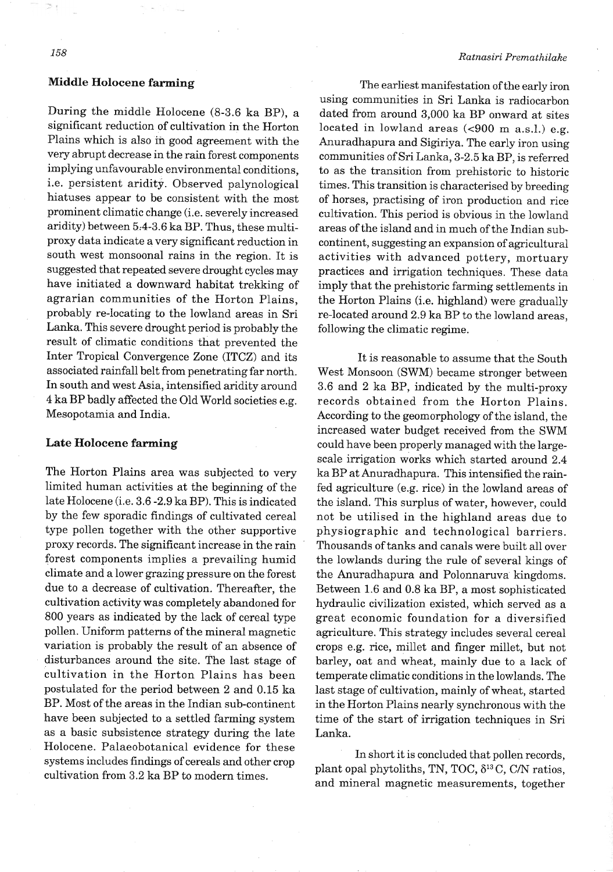### **Middle Holocene farming**

During the middle Holocene (8-3.6 ka BP), a significant reduction of cultivation in the Horton Plains which is also in good agreement with the very abrupt decrease in the rain forest components implying unfavourable environmental conditions, i.e. persistent aridity. Observed palynological hiatuses appear to be consistent with the most prominent climatic change (i.e. severely increased aridity) between 5,4-3.6 ka BP. Thus, these multiproxy data indicate a very significant reduction in south west monsoonal rains in the region. It is suggested that repeated severe drought cycles may have initiated a downward habitat trekking of agrarian communities of the Horton Plains, probably re-locating to the lowland areas in Sri Lanka. This severe drought period is probably the result of climatic conditions that prevented the Inter Tropical Convergence Zone (ITCZ) and its associated rainfall belt from penetrating far north. In south and west Asia, intensified aridity around 4 ka BP badly affected the Old World societies e.g. Mesopotamia and India.

#### **Late Holocene farming**

The Horton Plains area was subjected to very limited human activities at the beginning of the late Holocene (i.e. 3.6 -2.9 ka BP). This is indicated by the few sporadic findings of cultivated cereal type pollen together with the other supportive proxy records. The significant increase in the rain forest components implies a prevailing humid climate and a lower grazing pressure on the forest due to a decrease of cultivation. Thereafter, the cultivation activity was completely abandoned for 800 years as indicated by the lack of cereal type pollen. Uniform patterns of the mineral magnetic variation is probably the result of an absence of disturbances around the site. The last stage of cultivation in the Horton Plains has been postulated for the period between 2 and 0.15 ka BP. Most of the areas in the Indian sub-continent have been subjected to a settled farming system as a basic subsistence strategy during the late Holocene. Palaeobotanical evidence for these systems includes findings of cereals and other crop cultivation from 3.2 ka BP to modern times.

The earliest manifestation of the early iron using communities in Sri Lanka is radiocarbon dated from around 3,000 ka BP onward at sites located in lowland areas  $\left( < 900 \text{ m a.s.} \right)$ . e.g. Anuradhapura and Sigiriya. The early iron using communities of Sri Lanka, 3-2.5 ka BP, is referred to as the transition from prehistoric to historic times. This transition is characterised by breeding of horses, practising of iron production and rice cultivation. This period is obvious in the lowland areas of the island and in much of the Indian subcontinent, suggesting an expansion of agricultural activities with advanced pottery, mortuary practices and irrigation techniques. These data imply that the prehistoric farming settlements in the Horton Plains (i.e. highland) were gradually re-located around 2.9 ka BP to the lowland areas, following the climatic regime.

It is reasonable to assume that the South West Monsoon (SWM) became stronger between 3.6 and 2 ka BP, indicated by the multi-proxy records obtained from the Horton Plains. According to the geomorphology of the island, the increased water budget received from the SWM could have been properly managed with the largescale irrigation works which started around 2.4 ka BP at Anuradhapura. This intensified the rainfed agriculture (e.g. rice) in the lowland areas of the island. This surplus of water, however, could not be utilised in the highland areas due to physiographic and technological barriers. Thousands of tanks and canals were built all over the lowlands during the rule of several kings of the Anuradhapura and Polonnaruva kingdoms. Between 1.6 and 0.8 ka BP, a most sophisticated hydraulic civilization existed, which served as a great economic foundation for a diversified agriculture. This strategy includes several cereal crops e.g. rice, millet and finger millet, but not barley, oat and wheat, mainly due to a lack of temperate climatic conditions in the lowlands. The last stage of cultivation, mainly of wheat, started in the Horton Plains nearly synchronous with the time of the start of irrigation techniques in Sri Lanka.

In short it is concluded that pollen records, plant opal phytoliths, TN, TOC, **613** C, C/N ratios, and mineral magnetic measurements, together